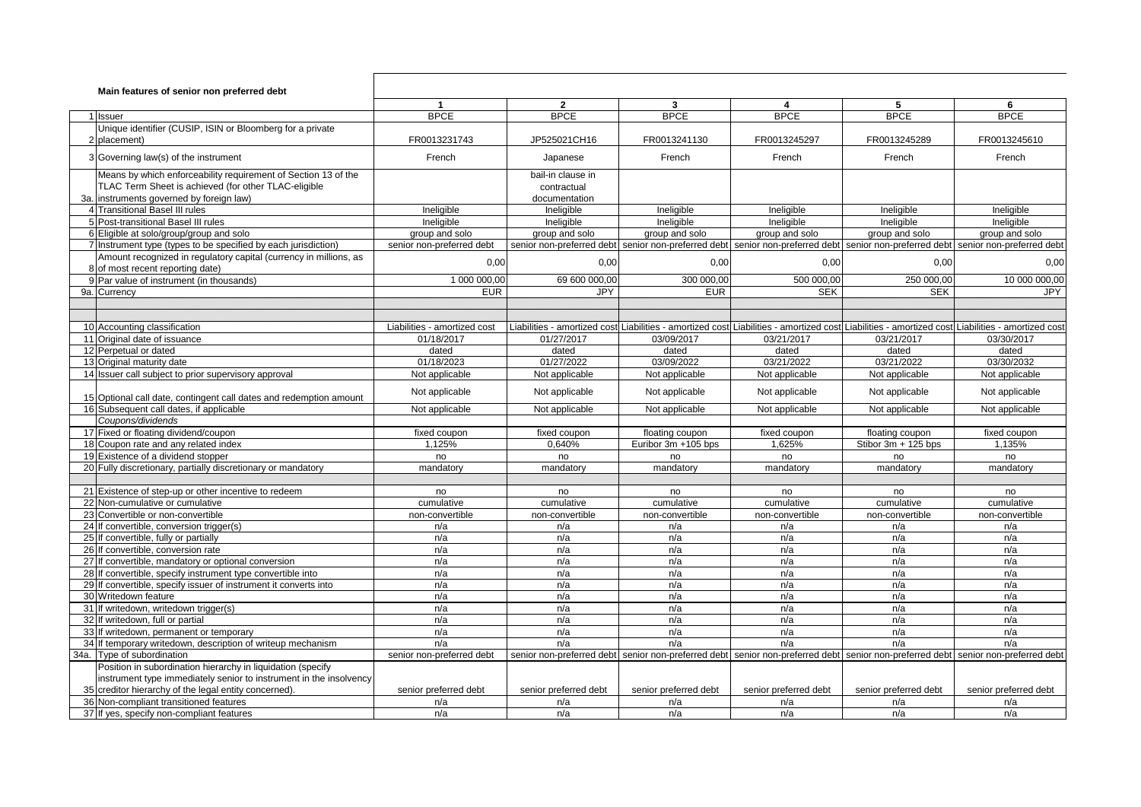| Main features of senior non preferred debt |                                                                                     |                              |                           |                                                                                                                                                  |                                                                                                         |                       |                       |
|--------------------------------------------|-------------------------------------------------------------------------------------|------------------------------|---------------------------|--------------------------------------------------------------------------------------------------------------------------------------------------|---------------------------------------------------------------------------------------------------------|-----------------------|-----------------------|
|                                            |                                                                                     | $\overline{1}$               | $\mathbf{2}$              | $\mathbf{3}$                                                                                                                                     | $\overline{\mathbf{4}}$                                                                                 | 5                     | 6                     |
|                                            | 1 Issuer                                                                            | <b>BPCE</b>                  | <b>BPCE</b>               | <b>BPCE</b>                                                                                                                                      | <b>BPCE</b>                                                                                             | <b>BPCE</b>           | <b>BPCE</b>           |
|                                            | Unique identifier (CUSIP, ISIN or Bloomberg for a private                           |                              |                           |                                                                                                                                                  |                                                                                                         |                       |                       |
|                                            | 2 placement)                                                                        | FR0013231743                 | JP525021CH16              | FR0013241130                                                                                                                                     | FR0013245297                                                                                            | FR0013245289          | FR0013245610          |
|                                            | 3 Governing law(s) of the instrument                                                | French                       | Japanese                  | French                                                                                                                                           | French                                                                                                  | French                | French                |
|                                            | Means by which enforceability requirement of Section 13 of the                      |                              | bail-in clause in         |                                                                                                                                                  |                                                                                                         |                       |                       |
|                                            | TLAC Term Sheet is achieved (for other TLAC-eligible                                |                              | contractual               |                                                                                                                                                  |                                                                                                         |                       |                       |
|                                            | 3a. instruments governed by foreign law)                                            |                              | documentation             |                                                                                                                                                  |                                                                                                         |                       |                       |
|                                            | 4 Transitional Basel III rules                                                      | Ineligible                   | Ineligible                | Ineligible                                                                                                                                       | Ineligible                                                                                              | Ineligible            | Ineligible            |
|                                            | 5 Post-transitional Basel III rules                                                 | Ineligible                   | Ineligible                | Ineligible                                                                                                                                       | Ineligible                                                                                              | Ineligible            | Ineligible            |
|                                            | 6 Eligible at solo/group/group and solo                                             | group and solo               | group and solo            | group and solo                                                                                                                                   | group and solo                                                                                          | group and solo        | group and solo        |
|                                            | 7 Instrument type (types to be specified by each jurisdiction)                      | senior non-preferred debt    |                           | senior non-preferred debt senior non-preferred debt senior non-preferred debt senior non-preferred debt senior non-preferred debt                |                                                                                                         |                       |                       |
|                                            | Amount recognized in regulatory capital (currency in millions, as                   | 0,00                         | 0,00                      | 0,00                                                                                                                                             | 0,00                                                                                                    | 0,00                  | 0,00                  |
|                                            | 8 of most recent reporting date)                                                    |                              |                           |                                                                                                                                                  |                                                                                                         |                       |                       |
|                                            | 9 Par value of instrument (in thousands)                                            | 1 000 000,00                 | 69 600 000,00             | 300 000,00                                                                                                                                       | 500 000,00                                                                                              | 250 000,00            | 10 000 000,00         |
|                                            | 9a. Currency                                                                        | <b>EUR</b>                   | <b>JPY</b>                | <b>EUR</b>                                                                                                                                       | <b>SEK</b>                                                                                              | <b>SEK</b>            | <b>JPY</b>            |
|                                            |                                                                                     |                              |                           |                                                                                                                                                  |                                                                                                         |                       |                       |
|                                            |                                                                                     |                              |                           |                                                                                                                                                  |                                                                                                         |                       |                       |
|                                            | 10 Accounting classification                                                        | Liabilities - amortized cost |                           | Liabilities - amortized cost Liabilities - amortized cost Liabilities - amortized cost Liabilities - amortized cost Liabilities - amortized cost |                                                                                                         |                       |                       |
|                                            | 11 Original date of issuance                                                        | 01/18/2017                   | 01/27/2017                | 03/09/2017                                                                                                                                       | 03/21/2017                                                                                              | 03/21/2017            | 03/30/2017            |
|                                            | 12 Perpetual or dated                                                               | dated                        | dated                     | dated                                                                                                                                            | dated                                                                                                   | dated                 | dated                 |
|                                            | 13 Original maturity date                                                           | 01/18/2023                   | 01/27/2022                | 03/09/2022                                                                                                                                       | 03/21/2022                                                                                              | 03/21/2022            | 03/30/2032            |
|                                            | 14 Issuer call subject to prior supervisory approval                                | Not applicable               | Not applicable            | Not applicable                                                                                                                                   | Not applicable                                                                                          | Not applicable        | Not applicable        |
|                                            | 15 Optional call date, contingent call dates and redemption amount                  | Not applicable               | Not applicable            | Not applicable                                                                                                                                   | Not applicable                                                                                          | Not applicable        | Not applicable        |
|                                            | 16 Subsequent call dates, if applicable                                             | Not applicable               | Not applicable            | Not applicable                                                                                                                                   | Not applicable                                                                                          | Not applicable        | Not applicable        |
|                                            | Coupons/dividends                                                                   |                              |                           |                                                                                                                                                  |                                                                                                         |                       |                       |
|                                            | 17 Fixed or floating dividend/coupon                                                | fixed coupon                 | fixed coupon              | floating coupon                                                                                                                                  | fixed coupon                                                                                            | floating coupon       | fixed coupon          |
|                                            | 18 Coupon rate and any related index                                                | 1,125%                       | 0,640%                    | Euribor 3m +105 bps                                                                                                                              | 1,625%                                                                                                  | Stibor 3m + 125 bps   | 1,135%                |
|                                            | 19 Existence of a dividend stopper                                                  | no                           | no                        | no                                                                                                                                               | no                                                                                                      | no                    | no                    |
|                                            | 20 Fully discretionary, partially discretionary or mandatory                        | mandatory                    | mandatory                 | mandatory                                                                                                                                        | mandatory                                                                                               | mandatory             | mandatory             |
|                                            |                                                                                     |                              |                           |                                                                                                                                                  |                                                                                                         |                       |                       |
|                                            | 21 Existence of step-up or other incentive to redeem                                | no                           | no                        | no                                                                                                                                               | no                                                                                                      | no                    | no                    |
|                                            | 22 Non-cumulative or cumulative                                                     | cumulative                   | cumulative                | cumulative                                                                                                                                       | cumulative                                                                                              | cumulative            | cumulative            |
|                                            | 23 Convertible or non-convertible                                                   | non-convertible              | non-convertible           | non-convertible                                                                                                                                  | non-convertible                                                                                         | non-convertible       | non-convertible       |
|                                            | 24 If convertible, conversion trigger(s)                                            | n/a                          | n/a                       | n/a                                                                                                                                              | n/a                                                                                                     | n/a                   | n/a                   |
|                                            | 25 If convertible, fully or partially                                               | n/a                          | n/a                       | n/a                                                                                                                                              | n/a                                                                                                     | n/a                   | n/a                   |
|                                            | 26 If convertible, conversion rate                                                  | n/a                          | n/a                       | n/a                                                                                                                                              | n/a                                                                                                     | n/a                   | n/a                   |
|                                            | 27 If convertible, mandatory or optional conversion                                 | n/a                          | n/a                       | n/a                                                                                                                                              | n/a                                                                                                     | n/a                   | n/a                   |
|                                            | 28 If convertible, specify instrument type convertible into                         | n/a                          | n/a                       | n/a                                                                                                                                              | n/a                                                                                                     | n/a                   | n/a                   |
|                                            | 29 If convertible, specify issuer of instrument it converts into                    | n/a                          | n/a                       | n/a                                                                                                                                              | n/a                                                                                                     | n/a                   | n/a                   |
|                                            | 30 Writedown feature                                                                | n/a                          | n/a                       | n/a                                                                                                                                              | n/a                                                                                                     | n/a                   | n/a                   |
|                                            | 31 If writedown, writedown trigger(s)                                               | n/a                          | n/a                       | n/a                                                                                                                                              | n/a                                                                                                     | n/a                   | n/a                   |
|                                            | 32 If writedown, full or partial                                                    | n/a                          | n/a                       | n/a                                                                                                                                              | n/a                                                                                                     | n/a                   | n/a                   |
|                                            | 33 If writedown, permanent or temporary                                             | n/a                          | n/a                       | n/a                                                                                                                                              | n/a                                                                                                     | n/a                   | n/a                   |
|                                            | 34 If temporary writedown, description of writeup mechanism                         | n/a                          | n/a                       | n/a                                                                                                                                              | n/a                                                                                                     | n/a                   | n/a                   |
|                                            | 34a. Type of subordination                                                          | senior non-preferred debt    | senior non-preferred debt |                                                                                                                                                  | senior non-preferred debt senior non-preferred debt senior non-preferred debt senior non-preferred debt |                       |                       |
|                                            | Position in subordination hierarchy in liquidation (specify                         |                              |                           |                                                                                                                                                  |                                                                                                         |                       |                       |
|                                            | instrument type immediately senior to instrument in the insolvency                  |                              |                           |                                                                                                                                                  |                                                                                                         |                       |                       |
|                                            | 35 creditor hierarchy of the legal entity concerned).                               | senior preferred debt        | senior preferred debt     | senior preferred debt                                                                                                                            | senior preferred debt                                                                                   | senior preferred debt | senior preferred debt |
|                                            | 36 Non-compliant transitioned features<br>37 If yes, specify non-compliant features | n/a<br>n/a                   | n/a<br>n/a                | n/a<br>n/a                                                                                                                                       | n/a<br>n/a                                                                                              | n/a<br>n/a            | n/a<br>n/a            |
|                                            |                                                                                     |                              |                           |                                                                                                                                                  |                                                                                                         |                       |                       |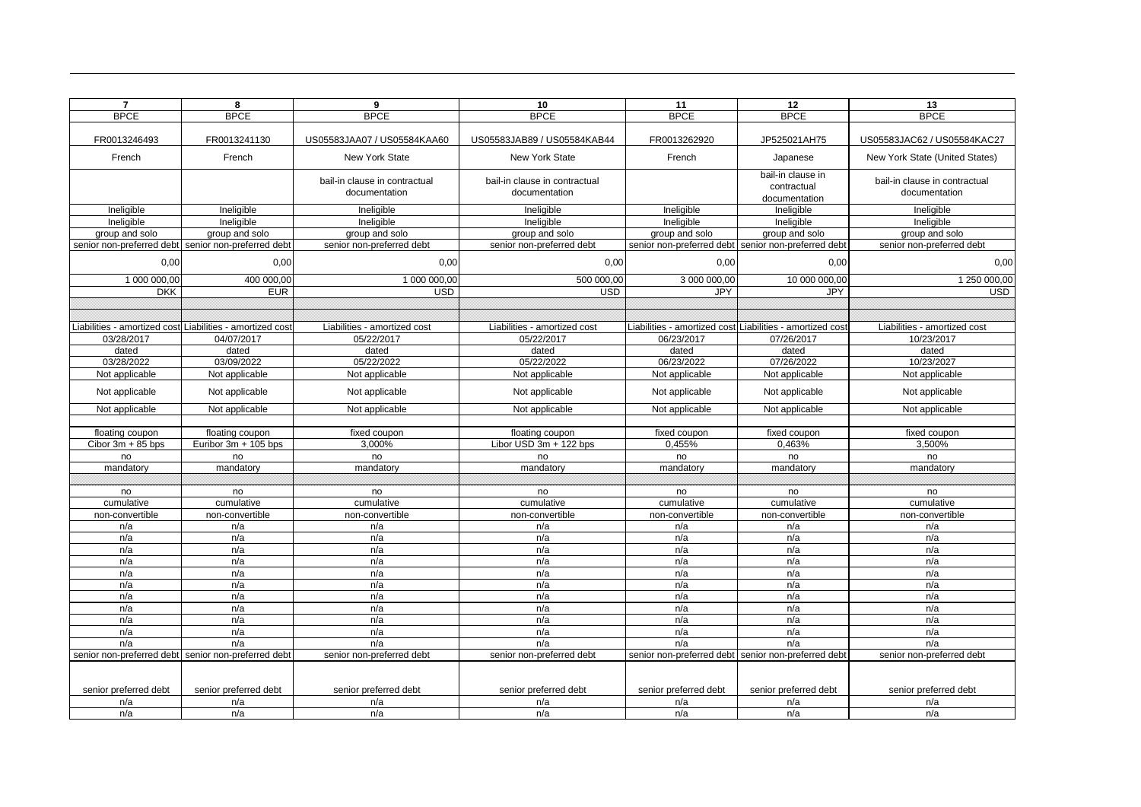| $\overline{7}$        | 8                                                         | 9                             | 10                            | 11                                                        | 12                    | 13                             |
|-----------------------|-----------------------------------------------------------|-------------------------------|-------------------------------|-----------------------------------------------------------|-----------------------|--------------------------------|
| <b>BPCE</b>           | <b>BPCE</b>                                               | <b>BPCE</b>                   | <b>BPCE</b>                   | <b>BPCE</b>                                               | <b>BPCE</b>           | <b>BPCE</b>                    |
|                       |                                                           |                               |                               |                                                           |                       |                                |
| FR0013246493          | FR0013241130                                              | US05583JAA07 / US05584KAA60   | US05583JAB89 / US05584KAB44   | FR0013262920                                              | JP525021AH75          | US05583JAC62 / US05584KAC27    |
| French                | French                                                    | <b>New York State</b>         | New York State                | French                                                    | Japanese              | New York State (United States) |
|                       |                                                           | bail-in clause in contractual | bail-in clause in contractual |                                                           | bail-in clause in     | bail-in clause in contractual  |
|                       |                                                           | documentation                 | documentation                 |                                                           | contractual           | documentation                  |
|                       |                                                           |                               |                               |                                                           | documentation         |                                |
| Ineligible            | Ineligible                                                | Ineligible                    | Ineligible                    | Ineligible                                                | Ineligible            | Ineligible                     |
| Ineligible            | Ineligible                                                | Ineligible                    | Ineligible                    | Ineligible                                                | Ineligible            | Ineligible                     |
| group and solo        | group and solo                                            | group and solo                | group and solo                | group and solo                                            | group and solo        | group and solo                 |
|                       | senior non-preferred debt senior non-preferred debt       | senior non-preferred debt     | senior non-preferred debt     | senior non-preferred debt senior non-preferred debt       |                       | senior non-preferred debt      |
| 0,00                  | 0,00                                                      | 0.00                          | 0,00                          | 0,00                                                      | 0,00                  | 0,00                           |
| 1 000 000,00          | 400 000,00                                                | 1 000 000,00                  | 500 000,00                    | 3 000 000,00                                              | 10 000 000,00         | 1 250 000,00                   |
| <b>DKK</b>            | <b>EUR</b>                                                | <b>USD</b>                    | <b>USD</b>                    | <b>JPY</b>                                                | <b>JPY</b>            | <b>USD</b>                     |
|                       |                                                           |                               |                               |                                                           |                       |                                |
|                       |                                                           |                               |                               |                                                           |                       |                                |
|                       | Liabilities - amortized cost Liabilities - amortized cost | Liabilities - amortized cost  | Liabilities - amortized cost  | Liabilities - amortized cost Liabilities - amortized cost |                       | Liabilities - amortized cost   |
| 03/28/2017            | 04/07/2017                                                | 05/22/2017                    | 05/22/2017                    | 06/23/2017                                                | 07/26/2017            | 10/23/2017                     |
| dated                 | dated                                                     | dated                         | dated                         | dated                                                     | dated                 | dated                          |
| 03/28/2022            | 03/09/2022                                                | 05/22/2022                    | 05/22/2022                    | 06/23/2022                                                | 07/26/2022            | 10/23/2027                     |
| Not applicable        | Not applicable                                            | Not applicable                | Not applicable                | Not applicable                                            | Not applicable        | Not applicable                 |
| Not applicable        | Not applicable                                            | Not applicable                | Not applicable                | Not applicable                                            | Not applicable        | Not applicable                 |
| Not applicable        | Not applicable                                            | Not applicable                | Not applicable                | Not applicable                                            | Not applicable        | Not applicable                 |
|                       |                                                           |                               |                               |                                                           |                       |                                |
| floating coupon       | floating coupon                                           | fixed coupon                  | floating coupon               | fixed coupon                                              | fixed coupon          | fixed coupon                   |
| Cibor $3m + 85$ bps   | Euribor 3m + 105 bps                                      | 3,000%                        | Libor USD 3m + 122 bps        | 0,455%                                                    | 0,463%                | 3,500%                         |
| no                    | no                                                        | no                            | no                            | no                                                        | no                    | no                             |
| mandatory             | mandatory                                                 | mandatory                     | mandatory                     | mandatory                                                 | mandatory             | mandatory                      |
|                       |                                                           |                               |                               |                                                           |                       |                                |
| no                    | no                                                        | no                            | no                            | no                                                        | no                    | no                             |
| cumulative            | cumulative                                                | cumulative                    | cumulative                    | cumulative                                                | cumulative            | cumulative                     |
| non-convertible       | non-convertible                                           | non-convertible               | non-convertible               | non-convertible                                           | non-convertible       | non-convertible                |
| n/a                   | n/a                                                       | n/a                           | n/a                           | n/a                                                       | n/a                   | n/a                            |
| n/a                   | n/a                                                       | n/a                           | n/a                           | n/a                                                       | n/a                   | n/a                            |
| n/a                   | n/a                                                       | n/a                           | n/a                           | n/a                                                       | n/a                   | n/a                            |
| n/a                   | n/a                                                       | n/a                           | n/a                           | n/a                                                       | n/a                   | n/a                            |
| n/a                   | n/a                                                       | n/a                           | n/a                           | n/a                                                       | n/a                   | n/a                            |
| n/a                   | n/a                                                       | n/a                           | n/a                           | n/a                                                       | n/a                   | n/a                            |
| n/a                   | n/a                                                       | n/a                           | n/a                           | n/a                                                       | n/a                   | n/a                            |
| n/a                   | n/a                                                       | n/a                           | n/a                           | n/a                                                       | n/a                   | n/a                            |
| n/a                   | n/a                                                       | n/a                           | n/a                           | n/a                                                       | n/a                   | n/a                            |
| n/a                   | n/a                                                       | n/a                           | n/a                           | n/a                                                       | n/a                   | n/a                            |
| n/a                   | n/a                                                       | n/a                           | n/a                           | n/a                                                       | n/a                   | n/a                            |
|                       | senior non-preferred debt senior non-preferred debt       | senior non-preferred debt     | senior non-preferred debt     | senior non-preferred debt senior non-preferred debt       |                       | senior non-preferred debt      |
|                       |                                                           |                               |                               |                                                           |                       |                                |
| senior preferred debt | senior preferred debt                                     | senior preferred debt         | senior preferred debt         | senior preferred debt                                     | senior preferred debt | senior preferred debt          |
| n/a                   | n/a                                                       | n/a                           | n/a                           | n/a                                                       | n/a                   | n/a                            |
| n/a                   | n/a                                                       | n/a                           | n/a                           | n/a                                                       | n/a                   | n/a                            |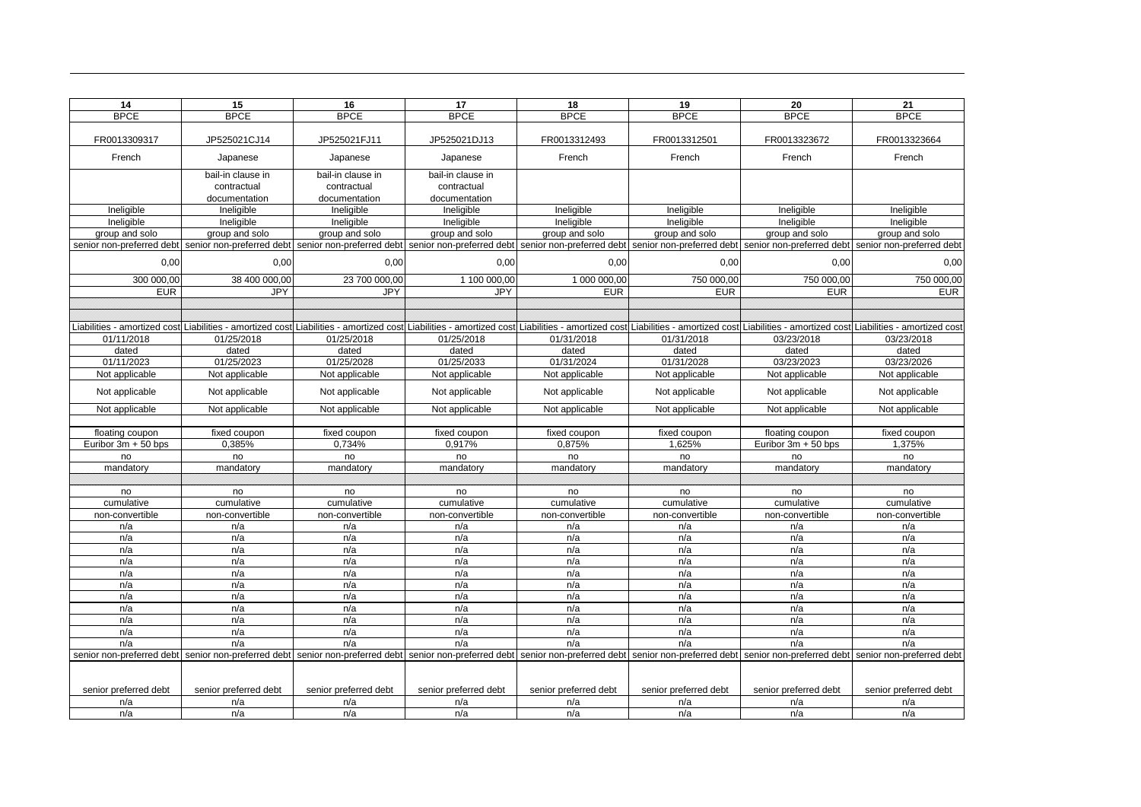| <b>BPCE</b><br><b>BPCE</b><br><b>BPCE</b><br><b>BPCE</b><br><b>BPCE</b><br><b>BPCE</b><br><b>BPCE</b><br><b>BPCE</b><br>FR0013309317<br>JP525021CJ14<br>JP525021FJ11<br>JP525021DJ13<br>FR0013312493<br>FR0013312501<br>FR0013323672<br>FR0013323664<br>French<br>French<br>French<br>French<br>French<br>Japanese<br>Japanese<br>Japanese<br>bail-in clause in<br>bail-in clause in<br>bail-in clause in<br>contractual<br>contractual<br>contractual<br>documentation<br>documentation<br>documentation<br>Ineligible<br>Ineligible<br>Ineligible<br>Ineligible<br>Ineligible<br>Ineligible<br>Ineligible<br>Ineligible<br>Ineligible<br>Ineligible<br>Ineligible<br>Ineligible<br>Ineligible<br>Ineligible<br>Ineligible<br>Ineligible<br>group and solo<br>group and solo<br>group and solo<br>group and solo<br>group and solo<br>group and solo<br>group and solo<br>group and solo<br>senior non-preferred debt senior non-preferred debt<br>senior non-preferred debt<br>senior non-preferred debt senior non-preferred debt senior non-preferred debt senior non-preferred debt senior non-preferred debt<br>0,00<br>0,00<br>0,00<br>0,00<br>0,00<br>0,00<br>0,00<br>300 000,00<br>38 400 000,00<br>23 700 000,00<br>1 100 000,00<br>1 000 000,00<br>750 000,00<br>750 000,00<br>750 000,00<br><b>EUR</b><br>EUR<br><b>EUR</b><br><b>JPY</b><br><b>JPY</b><br><b>JPY</b><br><b>EUR</b><br><b>EUR</b><br>Liabilities - amortized cost Liabilities - amortized cost Liabilities - amortized cost Liabilities - amortized cost Liabilities - amortized cost Liabilities - amortized cost Liabilities - amortized cost Liabilities - amort<br>01/11/2018<br>01/25/2018<br>01/25/2018<br>01/25/2018<br>01/31/2018<br>01/31/2018<br>03/23/2018<br>03/23/2018<br>dated<br>dated<br>dated<br>dated<br>dated<br>dated<br>dated<br>dated<br>01/11/2023<br>01/25/2023<br>01/25/2028<br>01/25/2033<br>01/31/2024<br>01/31/2028<br>03/23/2023<br>03/23/2026<br>Not applicable<br>Not applicable<br>Not applicable<br>Not applicable<br>Not applicable<br>Not applicable<br>Not applicable<br>Not applicable<br>Not applicable<br>Not applicable<br>Not applicable<br>Not applicable<br>Not applicable<br>Not applicable<br>Not applicable<br>Not applicable<br>Not applicable<br>Not applicable<br>Not applicable<br>Not applicable<br>Not applicable<br>Not applicable<br>Not applicable<br>Not applicable<br>fixed coupon<br>fixed coupon<br>fixed coupon<br>fixed coupon<br>floating coupon<br>fixed coupon<br>floating coupon<br>fixed coupon<br>0,385%<br>0.734%<br>1.625%<br>1.375%<br>Euribor 3m + 50 bps<br>0,917%<br>0.875%<br>Euribor $3m + 50$ bps<br>no<br>no<br>no<br>no<br>no<br>no<br>no<br>no<br>mandatory<br>mandatory<br>mandatory<br>mandatory<br>mandatory<br>mandatory<br>mandatory<br>mandatory<br>no<br>no<br>no<br>no<br>no<br>no<br>no<br>no<br>cumulative<br>cumulative<br>cumulative<br>cumulative<br>cumulative<br>cumulative<br>cumulative<br>cumulative<br>non-convertible<br>non-convertible<br>non-convertible<br>non-convertible<br>non-convertible<br>non-convertible<br>non-convertible<br>non-convertible<br>n/a<br>n/a<br>n/a<br>n/a<br>n/a<br>n/a<br>n/a<br>n/a<br>n/a<br>n/a<br>n/a<br>n/a<br>n/a<br>n/a<br>n/a<br>n/a<br>n/a<br>n/a<br>n/a<br>n/a<br>n/a<br>n/a<br>n/a<br>n/a<br>n/a<br>n/a<br>n/a<br>n/a<br>n/a<br>n/a<br>n/a<br>n/a<br>n/a<br>n/a<br>n/a<br>n/a<br>n/a<br>n/a<br>n/a<br>n/a<br>n/a<br>n/a<br>n/a<br>n/a<br>n/a<br>n/a<br>n/a<br>n/a<br>n/a<br>n/a<br>n/a<br>n/a<br>n/a<br>n/a<br>n/a<br>n/a<br>n/a<br>n/a<br>n/a<br>n/a<br>n/a<br>n/a<br>n/a<br>n/a<br>n/a<br>n/a<br>n/a<br>n/a<br>n/a<br>n/a<br>n/a<br>n/a<br>n/a<br>n/a<br>n/a<br>n/a<br>n/a<br>n/a<br>n/a<br>n/a<br>n/a<br>n/a<br>n/a<br>n/a<br>n/a<br>n/a<br>n/a<br>n/a<br>senior non-preferred debt  senior non-preferred debt  senior non-preferred debt  senior non-preferred debt  senior non-preferred debt  senior non-preferred debt  senior non-preferred debt access and the senior non-preferre<br>senior preferred debt<br>senior preferred debt<br>senior preferred debt<br>senior preferred debt<br>senior preferred debt<br>senior preferred debt<br>senior preferred debt<br>senior preferred debt<br>n/a<br>n/a<br>n/a<br>n/a<br>n/a<br>n/a<br>n/a<br>n/a<br>n/a<br>n/a<br>n/a<br>n/a<br>n/a<br>n/a<br>n/a<br>n/a | 14 | 15 | 16 | 17 | 18 | 19 | 20 | 21   |
|---------------------------------------------------------------------------------------------------------------------------------------------------------------------------------------------------------------------------------------------------------------------------------------------------------------------------------------------------------------------------------------------------------------------------------------------------------------------------------------------------------------------------------------------------------------------------------------------------------------------------------------------------------------------------------------------------------------------------------------------------------------------------------------------------------------------------------------------------------------------------------------------------------------------------------------------------------------------------------------------------------------------------------------------------------------------------------------------------------------------------------------------------------------------------------------------------------------------------------------------------------------------------------------------------------------------------------------------------------------------------------------------------------------------------------------------------------------------------------------------------------------------------------------------------------------------------------------------------------------------------------------------------------------------------------------------------------------------------------------------------------------------------------------------------------------------------------------------------------------------------------------------------------------------------------------------------------------------------------------------------------------------------------------------------------------------------------------------------------------------------------------------------------------------------------------------------------------------------------------------------------------------------------------------------------------------------------------------------------------------------------------------------------------------------------------------------------------------------------------------------------------------------------------------------------------------------------------------------------------------------------------------------------------------------------------------------------------------------------------------------------------------------------------------------------------------------------------------------------------------------------------------------------------------------------------------------------------------------------------------------------------------------------------------------------------------------------------------------------------------------------------------------------------------------------------------------------------------------------------------------------------------------------------------------------------------------------------------------------------------------------------------------------------------------------------------------------------------------------------------------------------------------------------------------------------------------------------------------------------------------------------------------------------------------------------------------------------------------------------------------------------------------------------------------------------------------------------------------------------------------------------------------------------------------------------------------------------------------------------------------------------------------------------------------------------------------------------------------------------------------------------------------------------------------------------------------------------------------------------------------------------------------------------------------------------------------------------------|----|----|----|----|----|----|----|------|
|                                                                                                                                                                                                                                                                                                                                                                                                                                                                                                                                                                                                                                                                                                                                                                                                                                                                                                                                                                                                                                                                                                                                                                                                                                                                                                                                                                                                                                                                                                                                                                                                                                                                                                                                                                                                                                                                                                                                                                                                                                                                                                                                                                                                                                                                                                                                                                                                                                                                                                                                                                                                                                                                                                                                                                                                                                                                                                                                                                                                                                                                                                                                                                                                                                                                                                                                                                                                                                                                                                                                                                                                                                                                                                                                                                                                                                                                                                                                                                                                                                                                                                                                                                                                                                                                                                                                             |    |    |    |    |    |    |    |      |
|                                                                                                                                                                                                                                                                                                                                                                                                                                                                                                                                                                                                                                                                                                                                                                                                                                                                                                                                                                                                                                                                                                                                                                                                                                                                                                                                                                                                                                                                                                                                                                                                                                                                                                                                                                                                                                                                                                                                                                                                                                                                                                                                                                                                                                                                                                                                                                                                                                                                                                                                                                                                                                                                                                                                                                                                                                                                                                                                                                                                                                                                                                                                                                                                                                                                                                                                                                                                                                                                                                                                                                                                                                                                                                                                                                                                                                                                                                                                                                                                                                                                                                                                                                                                                                                                                                                                             |    |    |    |    |    |    |    |      |
|                                                                                                                                                                                                                                                                                                                                                                                                                                                                                                                                                                                                                                                                                                                                                                                                                                                                                                                                                                                                                                                                                                                                                                                                                                                                                                                                                                                                                                                                                                                                                                                                                                                                                                                                                                                                                                                                                                                                                                                                                                                                                                                                                                                                                                                                                                                                                                                                                                                                                                                                                                                                                                                                                                                                                                                                                                                                                                                                                                                                                                                                                                                                                                                                                                                                                                                                                                                                                                                                                                                                                                                                                                                                                                                                                                                                                                                                                                                                                                                                                                                                                                                                                                                                                                                                                                                                             |    |    |    |    |    |    |    |      |
|                                                                                                                                                                                                                                                                                                                                                                                                                                                                                                                                                                                                                                                                                                                                                                                                                                                                                                                                                                                                                                                                                                                                                                                                                                                                                                                                                                                                                                                                                                                                                                                                                                                                                                                                                                                                                                                                                                                                                                                                                                                                                                                                                                                                                                                                                                                                                                                                                                                                                                                                                                                                                                                                                                                                                                                                                                                                                                                                                                                                                                                                                                                                                                                                                                                                                                                                                                                                                                                                                                                                                                                                                                                                                                                                                                                                                                                                                                                                                                                                                                                                                                                                                                                                                                                                                                                                             |    |    |    |    |    |    |    |      |
|                                                                                                                                                                                                                                                                                                                                                                                                                                                                                                                                                                                                                                                                                                                                                                                                                                                                                                                                                                                                                                                                                                                                                                                                                                                                                                                                                                                                                                                                                                                                                                                                                                                                                                                                                                                                                                                                                                                                                                                                                                                                                                                                                                                                                                                                                                                                                                                                                                                                                                                                                                                                                                                                                                                                                                                                                                                                                                                                                                                                                                                                                                                                                                                                                                                                                                                                                                                                                                                                                                                                                                                                                                                                                                                                                                                                                                                                                                                                                                                                                                                                                                                                                                                                                                                                                                                                             |    |    |    |    |    |    |    |      |
|                                                                                                                                                                                                                                                                                                                                                                                                                                                                                                                                                                                                                                                                                                                                                                                                                                                                                                                                                                                                                                                                                                                                                                                                                                                                                                                                                                                                                                                                                                                                                                                                                                                                                                                                                                                                                                                                                                                                                                                                                                                                                                                                                                                                                                                                                                                                                                                                                                                                                                                                                                                                                                                                                                                                                                                                                                                                                                                                                                                                                                                                                                                                                                                                                                                                                                                                                                                                                                                                                                                                                                                                                                                                                                                                                                                                                                                                                                                                                                                                                                                                                                                                                                                                                                                                                                                                             |    |    |    |    |    |    |    |      |
|                                                                                                                                                                                                                                                                                                                                                                                                                                                                                                                                                                                                                                                                                                                                                                                                                                                                                                                                                                                                                                                                                                                                                                                                                                                                                                                                                                                                                                                                                                                                                                                                                                                                                                                                                                                                                                                                                                                                                                                                                                                                                                                                                                                                                                                                                                                                                                                                                                                                                                                                                                                                                                                                                                                                                                                                                                                                                                                                                                                                                                                                                                                                                                                                                                                                                                                                                                                                                                                                                                                                                                                                                                                                                                                                                                                                                                                                                                                                                                                                                                                                                                                                                                                                                                                                                                                                             |    |    |    |    |    |    |    |      |
|                                                                                                                                                                                                                                                                                                                                                                                                                                                                                                                                                                                                                                                                                                                                                                                                                                                                                                                                                                                                                                                                                                                                                                                                                                                                                                                                                                                                                                                                                                                                                                                                                                                                                                                                                                                                                                                                                                                                                                                                                                                                                                                                                                                                                                                                                                                                                                                                                                                                                                                                                                                                                                                                                                                                                                                                                                                                                                                                                                                                                                                                                                                                                                                                                                                                                                                                                                                                                                                                                                                                                                                                                                                                                                                                                                                                                                                                                                                                                                                                                                                                                                                                                                                                                                                                                                                                             |    |    |    |    |    |    |    |      |
|                                                                                                                                                                                                                                                                                                                                                                                                                                                                                                                                                                                                                                                                                                                                                                                                                                                                                                                                                                                                                                                                                                                                                                                                                                                                                                                                                                                                                                                                                                                                                                                                                                                                                                                                                                                                                                                                                                                                                                                                                                                                                                                                                                                                                                                                                                                                                                                                                                                                                                                                                                                                                                                                                                                                                                                                                                                                                                                                                                                                                                                                                                                                                                                                                                                                                                                                                                                                                                                                                                                                                                                                                                                                                                                                                                                                                                                                                                                                                                                                                                                                                                                                                                                                                                                                                                                                             |    |    |    |    |    |    |    |      |
|                                                                                                                                                                                                                                                                                                                                                                                                                                                                                                                                                                                                                                                                                                                                                                                                                                                                                                                                                                                                                                                                                                                                                                                                                                                                                                                                                                                                                                                                                                                                                                                                                                                                                                                                                                                                                                                                                                                                                                                                                                                                                                                                                                                                                                                                                                                                                                                                                                                                                                                                                                                                                                                                                                                                                                                                                                                                                                                                                                                                                                                                                                                                                                                                                                                                                                                                                                                                                                                                                                                                                                                                                                                                                                                                                                                                                                                                                                                                                                                                                                                                                                                                                                                                                                                                                                                                             |    |    |    |    |    |    |    |      |
|                                                                                                                                                                                                                                                                                                                                                                                                                                                                                                                                                                                                                                                                                                                                                                                                                                                                                                                                                                                                                                                                                                                                                                                                                                                                                                                                                                                                                                                                                                                                                                                                                                                                                                                                                                                                                                                                                                                                                                                                                                                                                                                                                                                                                                                                                                                                                                                                                                                                                                                                                                                                                                                                                                                                                                                                                                                                                                                                                                                                                                                                                                                                                                                                                                                                                                                                                                                                                                                                                                                                                                                                                                                                                                                                                                                                                                                                                                                                                                                                                                                                                                                                                                                                                                                                                                                                             |    |    |    |    |    |    |    |      |
|                                                                                                                                                                                                                                                                                                                                                                                                                                                                                                                                                                                                                                                                                                                                                                                                                                                                                                                                                                                                                                                                                                                                                                                                                                                                                                                                                                                                                                                                                                                                                                                                                                                                                                                                                                                                                                                                                                                                                                                                                                                                                                                                                                                                                                                                                                                                                                                                                                                                                                                                                                                                                                                                                                                                                                                                                                                                                                                                                                                                                                                                                                                                                                                                                                                                                                                                                                                                                                                                                                                                                                                                                                                                                                                                                                                                                                                                                                                                                                                                                                                                                                                                                                                                                                                                                                                                             |    |    |    |    |    |    |    | 0,00 |
|                                                                                                                                                                                                                                                                                                                                                                                                                                                                                                                                                                                                                                                                                                                                                                                                                                                                                                                                                                                                                                                                                                                                                                                                                                                                                                                                                                                                                                                                                                                                                                                                                                                                                                                                                                                                                                                                                                                                                                                                                                                                                                                                                                                                                                                                                                                                                                                                                                                                                                                                                                                                                                                                                                                                                                                                                                                                                                                                                                                                                                                                                                                                                                                                                                                                                                                                                                                                                                                                                                                                                                                                                                                                                                                                                                                                                                                                                                                                                                                                                                                                                                                                                                                                                                                                                                                                             |    |    |    |    |    |    |    |      |
|                                                                                                                                                                                                                                                                                                                                                                                                                                                                                                                                                                                                                                                                                                                                                                                                                                                                                                                                                                                                                                                                                                                                                                                                                                                                                                                                                                                                                                                                                                                                                                                                                                                                                                                                                                                                                                                                                                                                                                                                                                                                                                                                                                                                                                                                                                                                                                                                                                                                                                                                                                                                                                                                                                                                                                                                                                                                                                                                                                                                                                                                                                                                                                                                                                                                                                                                                                                                                                                                                                                                                                                                                                                                                                                                                                                                                                                                                                                                                                                                                                                                                                                                                                                                                                                                                                                                             |    |    |    |    |    |    |    |      |
|                                                                                                                                                                                                                                                                                                                                                                                                                                                                                                                                                                                                                                                                                                                                                                                                                                                                                                                                                                                                                                                                                                                                                                                                                                                                                                                                                                                                                                                                                                                                                                                                                                                                                                                                                                                                                                                                                                                                                                                                                                                                                                                                                                                                                                                                                                                                                                                                                                                                                                                                                                                                                                                                                                                                                                                                                                                                                                                                                                                                                                                                                                                                                                                                                                                                                                                                                                                                                                                                                                                                                                                                                                                                                                                                                                                                                                                                                                                                                                                                                                                                                                                                                                                                                                                                                                                                             |    |    |    |    |    |    |    |      |
|                                                                                                                                                                                                                                                                                                                                                                                                                                                                                                                                                                                                                                                                                                                                                                                                                                                                                                                                                                                                                                                                                                                                                                                                                                                                                                                                                                                                                                                                                                                                                                                                                                                                                                                                                                                                                                                                                                                                                                                                                                                                                                                                                                                                                                                                                                                                                                                                                                                                                                                                                                                                                                                                                                                                                                                                                                                                                                                                                                                                                                                                                                                                                                                                                                                                                                                                                                                                                                                                                                                                                                                                                                                                                                                                                                                                                                                                                                                                                                                                                                                                                                                                                                                                                                                                                                                                             |    |    |    |    |    |    |    |      |
|                                                                                                                                                                                                                                                                                                                                                                                                                                                                                                                                                                                                                                                                                                                                                                                                                                                                                                                                                                                                                                                                                                                                                                                                                                                                                                                                                                                                                                                                                                                                                                                                                                                                                                                                                                                                                                                                                                                                                                                                                                                                                                                                                                                                                                                                                                                                                                                                                                                                                                                                                                                                                                                                                                                                                                                                                                                                                                                                                                                                                                                                                                                                                                                                                                                                                                                                                                                                                                                                                                                                                                                                                                                                                                                                                                                                                                                                                                                                                                                                                                                                                                                                                                                                                                                                                                                                             |    |    |    |    |    |    |    |      |
|                                                                                                                                                                                                                                                                                                                                                                                                                                                                                                                                                                                                                                                                                                                                                                                                                                                                                                                                                                                                                                                                                                                                                                                                                                                                                                                                                                                                                                                                                                                                                                                                                                                                                                                                                                                                                                                                                                                                                                                                                                                                                                                                                                                                                                                                                                                                                                                                                                                                                                                                                                                                                                                                                                                                                                                                                                                                                                                                                                                                                                                                                                                                                                                                                                                                                                                                                                                                                                                                                                                                                                                                                                                                                                                                                                                                                                                                                                                                                                                                                                                                                                                                                                                                                                                                                                                                             |    |    |    |    |    |    |    |      |
|                                                                                                                                                                                                                                                                                                                                                                                                                                                                                                                                                                                                                                                                                                                                                                                                                                                                                                                                                                                                                                                                                                                                                                                                                                                                                                                                                                                                                                                                                                                                                                                                                                                                                                                                                                                                                                                                                                                                                                                                                                                                                                                                                                                                                                                                                                                                                                                                                                                                                                                                                                                                                                                                                                                                                                                                                                                                                                                                                                                                                                                                                                                                                                                                                                                                                                                                                                                                                                                                                                                                                                                                                                                                                                                                                                                                                                                                                                                                                                                                                                                                                                                                                                                                                                                                                                                                             |    |    |    |    |    |    |    |      |
|                                                                                                                                                                                                                                                                                                                                                                                                                                                                                                                                                                                                                                                                                                                                                                                                                                                                                                                                                                                                                                                                                                                                                                                                                                                                                                                                                                                                                                                                                                                                                                                                                                                                                                                                                                                                                                                                                                                                                                                                                                                                                                                                                                                                                                                                                                                                                                                                                                                                                                                                                                                                                                                                                                                                                                                                                                                                                                                                                                                                                                                                                                                                                                                                                                                                                                                                                                                                                                                                                                                                                                                                                                                                                                                                                                                                                                                                                                                                                                                                                                                                                                                                                                                                                                                                                                                                             |    |    |    |    |    |    |    |      |
|                                                                                                                                                                                                                                                                                                                                                                                                                                                                                                                                                                                                                                                                                                                                                                                                                                                                                                                                                                                                                                                                                                                                                                                                                                                                                                                                                                                                                                                                                                                                                                                                                                                                                                                                                                                                                                                                                                                                                                                                                                                                                                                                                                                                                                                                                                                                                                                                                                                                                                                                                                                                                                                                                                                                                                                                                                                                                                                                                                                                                                                                                                                                                                                                                                                                                                                                                                                                                                                                                                                                                                                                                                                                                                                                                                                                                                                                                                                                                                                                                                                                                                                                                                                                                                                                                                                                             |    |    |    |    |    |    |    |      |
|                                                                                                                                                                                                                                                                                                                                                                                                                                                                                                                                                                                                                                                                                                                                                                                                                                                                                                                                                                                                                                                                                                                                                                                                                                                                                                                                                                                                                                                                                                                                                                                                                                                                                                                                                                                                                                                                                                                                                                                                                                                                                                                                                                                                                                                                                                                                                                                                                                                                                                                                                                                                                                                                                                                                                                                                                                                                                                                                                                                                                                                                                                                                                                                                                                                                                                                                                                                                                                                                                                                                                                                                                                                                                                                                                                                                                                                                                                                                                                                                                                                                                                                                                                                                                                                                                                                                             |    |    |    |    |    |    |    |      |
|                                                                                                                                                                                                                                                                                                                                                                                                                                                                                                                                                                                                                                                                                                                                                                                                                                                                                                                                                                                                                                                                                                                                                                                                                                                                                                                                                                                                                                                                                                                                                                                                                                                                                                                                                                                                                                                                                                                                                                                                                                                                                                                                                                                                                                                                                                                                                                                                                                                                                                                                                                                                                                                                                                                                                                                                                                                                                                                                                                                                                                                                                                                                                                                                                                                                                                                                                                                                                                                                                                                                                                                                                                                                                                                                                                                                                                                                                                                                                                                                                                                                                                                                                                                                                                                                                                                                             |    |    |    |    |    |    |    |      |
|                                                                                                                                                                                                                                                                                                                                                                                                                                                                                                                                                                                                                                                                                                                                                                                                                                                                                                                                                                                                                                                                                                                                                                                                                                                                                                                                                                                                                                                                                                                                                                                                                                                                                                                                                                                                                                                                                                                                                                                                                                                                                                                                                                                                                                                                                                                                                                                                                                                                                                                                                                                                                                                                                                                                                                                                                                                                                                                                                                                                                                                                                                                                                                                                                                                                                                                                                                                                                                                                                                                                                                                                                                                                                                                                                                                                                                                                                                                                                                                                                                                                                                                                                                                                                                                                                                                                             |    |    |    |    |    |    |    |      |
|                                                                                                                                                                                                                                                                                                                                                                                                                                                                                                                                                                                                                                                                                                                                                                                                                                                                                                                                                                                                                                                                                                                                                                                                                                                                                                                                                                                                                                                                                                                                                                                                                                                                                                                                                                                                                                                                                                                                                                                                                                                                                                                                                                                                                                                                                                                                                                                                                                                                                                                                                                                                                                                                                                                                                                                                                                                                                                                                                                                                                                                                                                                                                                                                                                                                                                                                                                                                                                                                                                                                                                                                                                                                                                                                                                                                                                                                                                                                                                                                                                                                                                                                                                                                                                                                                                                                             |    |    |    |    |    |    |    |      |
|                                                                                                                                                                                                                                                                                                                                                                                                                                                                                                                                                                                                                                                                                                                                                                                                                                                                                                                                                                                                                                                                                                                                                                                                                                                                                                                                                                                                                                                                                                                                                                                                                                                                                                                                                                                                                                                                                                                                                                                                                                                                                                                                                                                                                                                                                                                                                                                                                                                                                                                                                                                                                                                                                                                                                                                                                                                                                                                                                                                                                                                                                                                                                                                                                                                                                                                                                                                                                                                                                                                                                                                                                                                                                                                                                                                                                                                                                                                                                                                                                                                                                                                                                                                                                                                                                                                                             |    |    |    |    |    |    |    |      |
|                                                                                                                                                                                                                                                                                                                                                                                                                                                                                                                                                                                                                                                                                                                                                                                                                                                                                                                                                                                                                                                                                                                                                                                                                                                                                                                                                                                                                                                                                                                                                                                                                                                                                                                                                                                                                                                                                                                                                                                                                                                                                                                                                                                                                                                                                                                                                                                                                                                                                                                                                                                                                                                                                                                                                                                                                                                                                                                                                                                                                                                                                                                                                                                                                                                                                                                                                                                                                                                                                                                                                                                                                                                                                                                                                                                                                                                                                                                                                                                                                                                                                                                                                                                                                                                                                                                                             |    |    |    |    |    |    |    |      |
|                                                                                                                                                                                                                                                                                                                                                                                                                                                                                                                                                                                                                                                                                                                                                                                                                                                                                                                                                                                                                                                                                                                                                                                                                                                                                                                                                                                                                                                                                                                                                                                                                                                                                                                                                                                                                                                                                                                                                                                                                                                                                                                                                                                                                                                                                                                                                                                                                                                                                                                                                                                                                                                                                                                                                                                                                                                                                                                                                                                                                                                                                                                                                                                                                                                                                                                                                                                                                                                                                                                                                                                                                                                                                                                                                                                                                                                                                                                                                                                                                                                                                                                                                                                                                                                                                                                                             |    |    |    |    |    |    |    |      |
|                                                                                                                                                                                                                                                                                                                                                                                                                                                                                                                                                                                                                                                                                                                                                                                                                                                                                                                                                                                                                                                                                                                                                                                                                                                                                                                                                                                                                                                                                                                                                                                                                                                                                                                                                                                                                                                                                                                                                                                                                                                                                                                                                                                                                                                                                                                                                                                                                                                                                                                                                                                                                                                                                                                                                                                                                                                                                                                                                                                                                                                                                                                                                                                                                                                                                                                                                                                                                                                                                                                                                                                                                                                                                                                                                                                                                                                                                                                                                                                                                                                                                                                                                                                                                                                                                                                                             |    |    |    |    |    |    |    |      |
|                                                                                                                                                                                                                                                                                                                                                                                                                                                                                                                                                                                                                                                                                                                                                                                                                                                                                                                                                                                                                                                                                                                                                                                                                                                                                                                                                                                                                                                                                                                                                                                                                                                                                                                                                                                                                                                                                                                                                                                                                                                                                                                                                                                                                                                                                                                                                                                                                                                                                                                                                                                                                                                                                                                                                                                                                                                                                                                                                                                                                                                                                                                                                                                                                                                                                                                                                                                                                                                                                                                                                                                                                                                                                                                                                                                                                                                                                                                                                                                                                                                                                                                                                                                                                                                                                                                                             |    |    |    |    |    |    |    |      |
|                                                                                                                                                                                                                                                                                                                                                                                                                                                                                                                                                                                                                                                                                                                                                                                                                                                                                                                                                                                                                                                                                                                                                                                                                                                                                                                                                                                                                                                                                                                                                                                                                                                                                                                                                                                                                                                                                                                                                                                                                                                                                                                                                                                                                                                                                                                                                                                                                                                                                                                                                                                                                                                                                                                                                                                                                                                                                                                                                                                                                                                                                                                                                                                                                                                                                                                                                                                                                                                                                                                                                                                                                                                                                                                                                                                                                                                                                                                                                                                                                                                                                                                                                                                                                                                                                                                                             |    |    |    |    |    |    |    |      |
|                                                                                                                                                                                                                                                                                                                                                                                                                                                                                                                                                                                                                                                                                                                                                                                                                                                                                                                                                                                                                                                                                                                                                                                                                                                                                                                                                                                                                                                                                                                                                                                                                                                                                                                                                                                                                                                                                                                                                                                                                                                                                                                                                                                                                                                                                                                                                                                                                                                                                                                                                                                                                                                                                                                                                                                                                                                                                                                                                                                                                                                                                                                                                                                                                                                                                                                                                                                                                                                                                                                                                                                                                                                                                                                                                                                                                                                                                                                                                                                                                                                                                                                                                                                                                                                                                                                                             |    |    |    |    |    |    |    |      |
|                                                                                                                                                                                                                                                                                                                                                                                                                                                                                                                                                                                                                                                                                                                                                                                                                                                                                                                                                                                                                                                                                                                                                                                                                                                                                                                                                                                                                                                                                                                                                                                                                                                                                                                                                                                                                                                                                                                                                                                                                                                                                                                                                                                                                                                                                                                                                                                                                                                                                                                                                                                                                                                                                                                                                                                                                                                                                                                                                                                                                                                                                                                                                                                                                                                                                                                                                                                                                                                                                                                                                                                                                                                                                                                                                                                                                                                                                                                                                                                                                                                                                                                                                                                                                                                                                                                                             |    |    |    |    |    |    |    |      |
|                                                                                                                                                                                                                                                                                                                                                                                                                                                                                                                                                                                                                                                                                                                                                                                                                                                                                                                                                                                                                                                                                                                                                                                                                                                                                                                                                                                                                                                                                                                                                                                                                                                                                                                                                                                                                                                                                                                                                                                                                                                                                                                                                                                                                                                                                                                                                                                                                                                                                                                                                                                                                                                                                                                                                                                                                                                                                                                                                                                                                                                                                                                                                                                                                                                                                                                                                                                                                                                                                                                                                                                                                                                                                                                                                                                                                                                                                                                                                                                                                                                                                                                                                                                                                                                                                                                                             |    |    |    |    |    |    |    |      |
|                                                                                                                                                                                                                                                                                                                                                                                                                                                                                                                                                                                                                                                                                                                                                                                                                                                                                                                                                                                                                                                                                                                                                                                                                                                                                                                                                                                                                                                                                                                                                                                                                                                                                                                                                                                                                                                                                                                                                                                                                                                                                                                                                                                                                                                                                                                                                                                                                                                                                                                                                                                                                                                                                                                                                                                                                                                                                                                                                                                                                                                                                                                                                                                                                                                                                                                                                                                                                                                                                                                                                                                                                                                                                                                                                                                                                                                                                                                                                                                                                                                                                                                                                                                                                                                                                                                                             |    |    |    |    |    |    |    |      |
|                                                                                                                                                                                                                                                                                                                                                                                                                                                                                                                                                                                                                                                                                                                                                                                                                                                                                                                                                                                                                                                                                                                                                                                                                                                                                                                                                                                                                                                                                                                                                                                                                                                                                                                                                                                                                                                                                                                                                                                                                                                                                                                                                                                                                                                                                                                                                                                                                                                                                                                                                                                                                                                                                                                                                                                                                                                                                                                                                                                                                                                                                                                                                                                                                                                                                                                                                                                                                                                                                                                                                                                                                                                                                                                                                                                                                                                                                                                                                                                                                                                                                                                                                                                                                                                                                                                                             |    |    |    |    |    |    |    |      |
|                                                                                                                                                                                                                                                                                                                                                                                                                                                                                                                                                                                                                                                                                                                                                                                                                                                                                                                                                                                                                                                                                                                                                                                                                                                                                                                                                                                                                                                                                                                                                                                                                                                                                                                                                                                                                                                                                                                                                                                                                                                                                                                                                                                                                                                                                                                                                                                                                                                                                                                                                                                                                                                                                                                                                                                                                                                                                                                                                                                                                                                                                                                                                                                                                                                                                                                                                                                                                                                                                                                                                                                                                                                                                                                                                                                                                                                                                                                                                                                                                                                                                                                                                                                                                                                                                                                                             |    |    |    |    |    |    |    |      |
|                                                                                                                                                                                                                                                                                                                                                                                                                                                                                                                                                                                                                                                                                                                                                                                                                                                                                                                                                                                                                                                                                                                                                                                                                                                                                                                                                                                                                                                                                                                                                                                                                                                                                                                                                                                                                                                                                                                                                                                                                                                                                                                                                                                                                                                                                                                                                                                                                                                                                                                                                                                                                                                                                                                                                                                                                                                                                                                                                                                                                                                                                                                                                                                                                                                                                                                                                                                                                                                                                                                                                                                                                                                                                                                                                                                                                                                                                                                                                                                                                                                                                                                                                                                                                                                                                                                                             |    |    |    |    |    |    |    |      |
|                                                                                                                                                                                                                                                                                                                                                                                                                                                                                                                                                                                                                                                                                                                                                                                                                                                                                                                                                                                                                                                                                                                                                                                                                                                                                                                                                                                                                                                                                                                                                                                                                                                                                                                                                                                                                                                                                                                                                                                                                                                                                                                                                                                                                                                                                                                                                                                                                                                                                                                                                                                                                                                                                                                                                                                                                                                                                                                                                                                                                                                                                                                                                                                                                                                                                                                                                                                                                                                                                                                                                                                                                                                                                                                                                                                                                                                                                                                                                                                                                                                                                                                                                                                                                                                                                                                                             |    |    |    |    |    |    |    |      |
|                                                                                                                                                                                                                                                                                                                                                                                                                                                                                                                                                                                                                                                                                                                                                                                                                                                                                                                                                                                                                                                                                                                                                                                                                                                                                                                                                                                                                                                                                                                                                                                                                                                                                                                                                                                                                                                                                                                                                                                                                                                                                                                                                                                                                                                                                                                                                                                                                                                                                                                                                                                                                                                                                                                                                                                                                                                                                                                                                                                                                                                                                                                                                                                                                                                                                                                                                                                                                                                                                                                                                                                                                                                                                                                                                                                                                                                                                                                                                                                                                                                                                                                                                                                                                                                                                                                                             |    |    |    |    |    |    |    |      |
|                                                                                                                                                                                                                                                                                                                                                                                                                                                                                                                                                                                                                                                                                                                                                                                                                                                                                                                                                                                                                                                                                                                                                                                                                                                                                                                                                                                                                                                                                                                                                                                                                                                                                                                                                                                                                                                                                                                                                                                                                                                                                                                                                                                                                                                                                                                                                                                                                                                                                                                                                                                                                                                                                                                                                                                                                                                                                                                                                                                                                                                                                                                                                                                                                                                                                                                                                                                                                                                                                                                                                                                                                                                                                                                                                                                                                                                                                                                                                                                                                                                                                                                                                                                                                                                                                                                                             |    |    |    |    |    |    |    |      |
|                                                                                                                                                                                                                                                                                                                                                                                                                                                                                                                                                                                                                                                                                                                                                                                                                                                                                                                                                                                                                                                                                                                                                                                                                                                                                                                                                                                                                                                                                                                                                                                                                                                                                                                                                                                                                                                                                                                                                                                                                                                                                                                                                                                                                                                                                                                                                                                                                                                                                                                                                                                                                                                                                                                                                                                                                                                                                                                                                                                                                                                                                                                                                                                                                                                                                                                                                                                                                                                                                                                                                                                                                                                                                                                                                                                                                                                                                                                                                                                                                                                                                                                                                                                                                                                                                                                                             |    |    |    |    |    |    |    |      |
|                                                                                                                                                                                                                                                                                                                                                                                                                                                                                                                                                                                                                                                                                                                                                                                                                                                                                                                                                                                                                                                                                                                                                                                                                                                                                                                                                                                                                                                                                                                                                                                                                                                                                                                                                                                                                                                                                                                                                                                                                                                                                                                                                                                                                                                                                                                                                                                                                                                                                                                                                                                                                                                                                                                                                                                                                                                                                                                                                                                                                                                                                                                                                                                                                                                                                                                                                                                                                                                                                                                                                                                                                                                                                                                                                                                                                                                                                                                                                                                                                                                                                                                                                                                                                                                                                                                                             |    |    |    |    |    |    |    |      |
|                                                                                                                                                                                                                                                                                                                                                                                                                                                                                                                                                                                                                                                                                                                                                                                                                                                                                                                                                                                                                                                                                                                                                                                                                                                                                                                                                                                                                                                                                                                                                                                                                                                                                                                                                                                                                                                                                                                                                                                                                                                                                                                                                                                                                                                                                                                                                                                                                                                                                                                                                                                                                                                                                                                                                                                                                                                                                                                                                                                                                                                                                                                                                                                                                                                                                                                                                                                                                                                                                                                                                                                                                                                                                                                                                                                                                                                                                                                                                                                                                                                                                                                                                                                                                                                                                                                                             |    |    |    |    |    |    |    |      |
|                                                                                                                                                                                                                                                                                                                                                                                                                                                                                                                                                                                                                                                                                                                                                                                                                                                                                                                                                                                                                                                                                                                                                                                                                                                                                                                                                                                                                                                                                                                                                                                                                                                                                                                                                                                                                                                                                                                                                                                                                                                                                                                                                                                                                                                                                                                                                                                                                                                                                                                                                                                                                                                                                                                                                                                                                                                                                                                                                                                                                                                                                                                                                                                                                                                                                                                                                                                                                                                                                                                                                                                                                                                                                                                                                                                                                                                                                                                                                                                                                                                                                                                                                                                                                                                                                                                                             |    |    |    |    |    |    |    |      |
|                                                                                                                                                                                                                                                                                                                                                                                                                                                                                                                                                                                                                                                                                                                                                                                                                                                                                                                                                                                                                                                                                                                                                                                                                                                                                                                                                                                                                                                                                                                                                                                                                                                                                                                                                                                                                                                                                                                                                                                                                                                                                                                                                                                                                                                                                                                                                                                                                                                                                                                                                                                                                                                                                                                                                                                                                                                                                                                                                                                                                                                                                                                                                                                                                                                                                                                                                                                                                                                                                                                                                                                                                                                                                                                                                                                                                                                                                                                                                                                                                                                                                                                                                                                                                                                                                                                                             |    |    |    |    |    |    |    |      |
|                                                                                                                                                                                                                                                                                                                                                                                                                                                                                                                                                                                                                                                                                                                                                                                                                                                                                                                                                                                                                                                                                                                                                                                                                                                                                                                                                                                                                                                                                                                                                                                                                                                                                                                                                                                                                                                                                                                                                                                                                                                                                                                                                                                                                                                                                                                                                                                                                                                                                                                                                                                                                                                                                                                                                                                                                                                                                                                                                                                                                                                                                                                                                                                                                                                                                                                                                                                                                                                                                                                                                                                                                                                                                                                                                                                                                                                                                                                                                                                                                                                                                                                                                                                                                                                                                                                                             |    |    |    |    |    |    |    |      |
|                                                                                                                                                                                                                                                                                                                                                                                                                                                                                                                                                                                                                                                                                                                                                                                                                                                                                                                                                                                                                                                                                                                                                                                                                                                                                                                                                                                                                                                                                                                                                                                                                                                                                                                                                                                                                                                                                                                                                                                                                                                                                                                                                                                                                                                                                                                                                                                                                                                                                                                                                                                                                                                                                                                                                                                                                                                                                                                                                                                                                                                                                                                                                                                                                                                                                                                                                                                                                                                                                                                                                                                                                                                                                                                                                                                                                                                                                                                                                                                                                                                                                                                                                                                                                                                                                                                                             |    |    |    |    |    |    |    |      |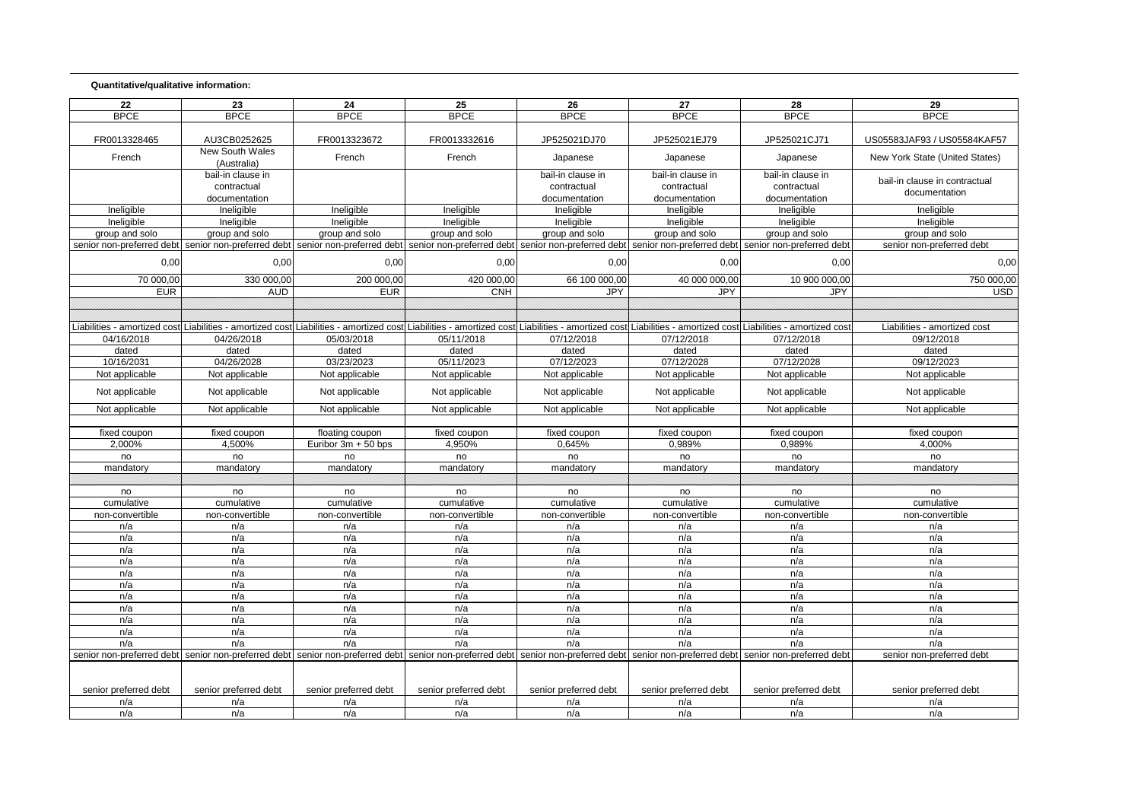## **Quantitative/qualitative information:**

| 22                    | 23                                                                                                                                                                                                                             | 24                    | 25                    | 26                    | 27                    | 28                                                  | 29                             |
|-----------------------|--------------------------------------------------------------------------------------------------------------------------------------------------------------------------------------------------------------------------------|-----------------------|-----------------------|-----------------------|-----------------------|-----------------------------------------------------|--------------------------------|
| <b>BPCE</b>           | <b>BPCE</b>                                                                                                                                                                                                                    | <b>BPCE</b>           | <b>BPCE</b>           | <b>BPCE</b>           | <b>BPCE</b>           | <b>BPCE</b>                                         | <b>BPCE</b>                    |
| FR0013328465          | AU3CB0252625                                                                                                                                                                                                                   | FR0013323672          | FR0013332616          | JP525021DJ70          | JP525021EJ79          | JP525021CJ71                                        | US05583JAF93 / US05584KAF57    |
| French                | <b>New South Wales</b><br>(Australia)                                                                                                                                                                                          | French                | French                | Japanese              | Japanese              | Japanese                                            | New York State (United States) |
|                       | bail-in clause in                                                                                                                                                                                                              |                       |                       | bail-in clause in     | bail-in clause in     | bail-in clause in                                   |                                |
|                       | contractual                                                                                                                                                                                                                    |                       |                       | contractual           | contractual           | contractual                                         | bail-in clause in contractual  |
|                       | documentation                                                                                                                                                                                                                  |                       |                       | documentation         | documentation         | documentation                                       | documentation                  |
| Ineligible            | Ineligible                                                                                                                                                                                                                     | Ineligible            | Ineligible            | Ineligible            | Ineligible            | Ineligible                                          | Ineligible                     |
| Ineligible            | Ineligible                                                                                                                                                                                                                     | Ineligible            | Ineligible            | Ineligible            | Ineligible            | Ineligible                                          | Ineligible                     |
| group and solo        | group and solo                                                                                                                                                                                                                 | group and solo        | group and solo        | group and solo        | group and solo        | group and solo                                      | group and solo                 |
|                       | senior non-preferred debt senior non-preferred debt senior non-preferred debt senior non-preferred debt senior non-preferred debt                                                                                              |                       |                       |                       |                       | senior non-preferred debt senior non-preferred debt | senior non-preferred debt      |
| 0,00                  | 0,00                                                                                                                                                                                                                           | 0,00                  | 0,00                  | 0,00                  | 0,00                  | 0,00                                                | 0,00                           |
| 70 000,00             | 330 000,00                                                                                                                                                                                                                     | 200 000,00            | 420 000,00            | 66 100 000,00         | 40 000 000,00         | 10 900 000,00                                       | 750 000,00                     |
| <b>EUR</b>            | <b>AUD</b>                                                                                                                                                                                                                     | <b>EUR</b>            | <b>CNH</b>            | <b>JPY</b>            | <b>JPY</b>            | <b>JPY</b>                                          | <b>USD</b>                     |
|                       |                                                                                                                                                                                                                                |                       |                       |                       |                       |                                                     |                                |
|                       |                                                                                                                                                                                                                                |                       |                       |                       |                       |                                                     |                                |
|                       | Liabilities - amortized cost Liabilities - amortized cost Liabilities - amortized cost Liabilities - amortized cost Liabilities - amortized cost Liabilities - amortized cost Liabilities - amortized cost Liabilities - amort |                       |                       |                       |                       |                                                     | Liabilities - amortized cost   |
| 04/16/2018            | 04/26/2018                                                                                                                                                                                                                     | 05/03/2018            | 05/11/2018            | 07/12/2018            | 07/12/2018            | 07/12/2018                                          | 09/12/2018                     |
| dated                 | dated                                                                                                                                                                                                                          | dated                 | dated                 | dated                 | dated                 | dated                                               | dated                          |
| 10/16/2031            | 04/26/2028                                                                                                                                                                                                                     | 03/23/2023            | 05/11/2023            | 07/12/2023            | 07/12/2028            | 07/12/2028                                          | 09/12/2023                     |
| Not applicable        | Not applicable                                                                                                                                                                                                                 | Not applicable        | Not applicable        | Not applicable        | Not applicable        | Not applicable                                      | Not applicable                 |
| Not applicable        | Not applicable                                                                                                                                                                                                                 | Not applicable        | Not applicable        | Not applicable        | Not applicable        | Not applicable                                      | Not applicable                 |
| Not applicable        | Not applicable                                                                                                                                                                                                                 | Not applicable        | Not applicable        | Not applicable        | Not applicable        | Not applicable                                      | Not applicable                 |
|                       |                                                                                                                                                                                                                                |                       |                       |                       |                       |                                                     |                                |
| fixed coupon          | fixed coupon                                                                                                                                                                                                                   | floating coupon       | fixed coupon          | fixed coupon          | fixed coupon          | fixed coupon                                        | fixed coupon                   |
| 2,000%                | 4,500%                                                                                                                                                                                                                         | Euribor 3m + 50 bps   | 4,950%                | 0,645%                | 0,989%                | 0,989%                                              | 4,000%                         |
| no                    | no                                                                                                                                                                                                                             | no                    | no                    | no                    | no                    | no                                                  | no                             |
| mandatory             | mandatory                                                                                                                                                                                                                      | mandatory             | mandatory             | mandatory             | mandatory             | mandatory                                           | mandatory                      |
|                       |                                                                                                                                                                                                                                |                       |                       |                       |                       |                                                     |                                |
| no                    | no                                                                                                                                                                                                                             | no                    | no                    | no                    | no                    | no                                                  | no                             |
| cumulative            | cumulative                                                                                                                                                                                                                     | cumulative            | cumulative            | cumulative            | cumulative            | cumulative                                          | cumulative                     |
| non-convertible       | non-convertible                                                                                                                                                                                                                | non-convertible       | non-convertible       | non-convertible       | non-convertible       | non-convertible                                     | non-convertible                |
| n/a                   | n/a                                                                                                                                                                                                                            | n/a                   | n/a                   | n/a                   | n/a                   | n/a                                                 | n/a                            |
| n/a                   | n/a                                                                                                                                                                                                                            | n/a                   | n/a                   | n/a                   | n/a                   | n/a                                                 | n/a                            |
| n/a                   | n/a                                                                                                                                                                                                                            | n/a                   | n/a                   | n/a                   | n/a                   | n/a                                                 | n/a                            |
| n/a                   | n/a                                                                                                                                                                                                                            | n/a                   | n/a                   | n/a                   | n/a                   | n/a                                                 | n/a                            |
| n/a                   | n/a                                                                                                                                                                                                                            | n/a                   | n/a                   | n/a                   | n/a                   | n/a                                                 | n/a                            |
| n/a                   | n/a                                                                                                                                                                                                                            | n/a                   | n/a                   | n/a                   | n/a                   | n/a                                                 | n/a                            |
| n/a                   | n/a                                                                                                                                                                                                                            | n/a                   | n/a                   | n/a                   | n/a                   | n/a                                                 | n/a                            |
| n/a                   | n/a                                                                                                                                                                                                                            | n/a                   | n/a                   | n/a                   | n/a                   | n/a                                                 | n/a                            |
| n/a                   | n/a                                                                                                                                                                                                                            | n/a                   | n/a                   | n/a                   | n/a                   | n/a                                                 | n/a                            |
| n/a                   | n/a                                                                                                                                                                                                                            | n/a                   | n/a                   | n/a                   | n/a                   | n/a                                                 | n/a                            |
| n/a                   | n/a                                                                                                                                                                                                                            | n/a                   | n/a                   | n/a                   | n/a                   | n/a                                                 | n/a                            |
|                       | senior non-preferred debt  senior non-preferred debt  senior non-preferred debt  senior non-preferred debt  senior non-preferred debt  senior non-preferred debt  senior non-preferred debt  senior non-preferred debt         |                       |                       |                       |                       |                                                     | senior non-preferred debt      |
|                       |                                                                                                                                                                                                                                |                       |                       |                       |                       |                                                     |                                |
| senior preferred debt | senior preferred debt                                                                                                                                                                                                          | senior preferred debt | senior preferred debt | senior preferred debt | senior preferred debt | senior preferred debt                               | senior preferred debt          |
| n/a                   | n/a                                                                                                                                                                                                                            | n/a                   | n/a                   | n/a                   | n/a                   | n/a                                                 | n/a                            |
| n/a                   | n/a                                                                                                                                                                                                                            | n/a                   | n/a                   | n/a                   | n/a                   | n/a                                                 | n/a                            |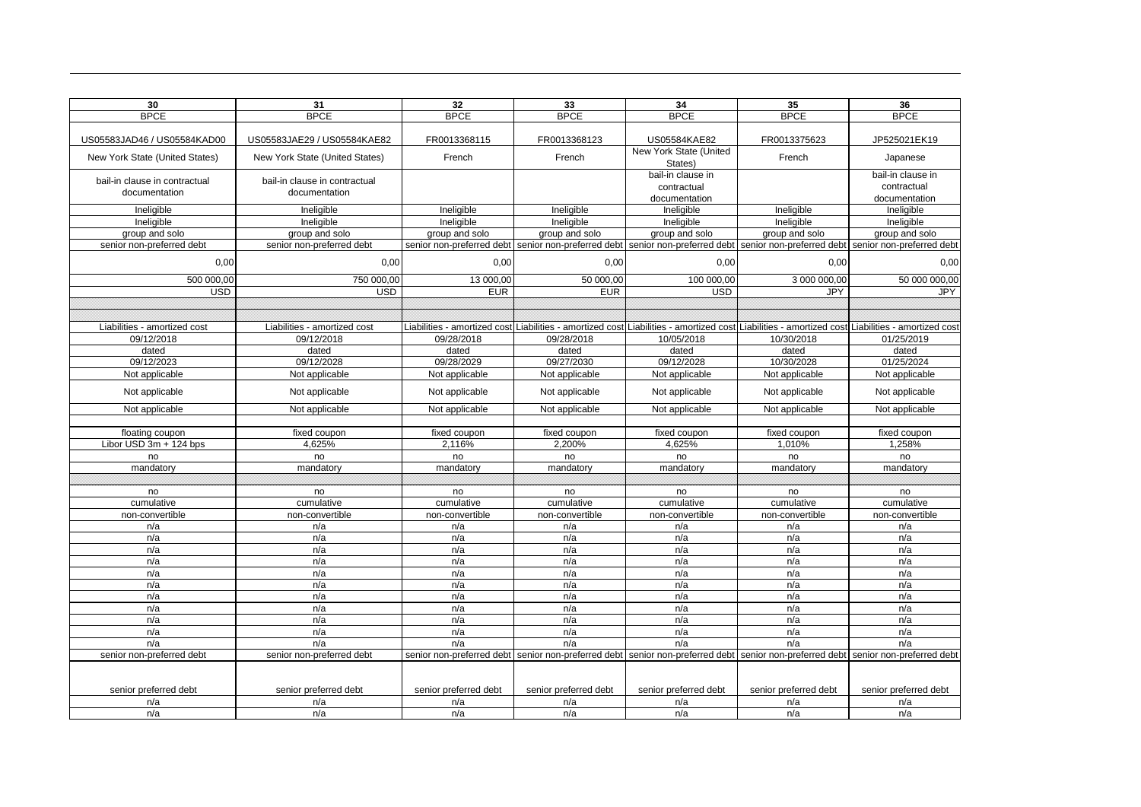| 30                                         | 31                                         | 32                        | 33                        | 34                                                                                                                                                             | 35                                                  | 36                        |
|--------------------------------------------|--------------------------------------------|---------------------------|---------------------------|----------------------------------------------------------------------------------------------------------------------------------------------------------------|-----------------------------------------------------|---------------------------|
| <b>BPCE</b>                                | <b>BPCE</b>                                | <b>BPCE</b>               | <b>BPCE</b>               | <b>BPCE</b>                                                                                                                                                    | <b>BPCE</b>                                         | <b>BPCE</b>               |
|                                            |                                            |                           |                           |                                                                                                                                                                |                                                     |                           |
| US05583JAD46 / US05584KAD00                | US05583JAE29 / US05584KAE82                | FR0013368115              | FR0013368123              | US05584KAE82                                                                                                                                                   | FR0013375623                                        | JP525021EK19              |
| New York State (United States)             | New York State (United States)             | French                    | French                    | New York State (United<br>States)                                                                                                                              | French                                              | Japanese                  |
| bail-in clause in contractual              | bail-in clause in contractual              |                           |                           | bail-in clause in                                                                                                                                              |                                                     | bail-in clause in         |
| documentation                              | documentation                              |                           |                           | contractual                                                                                                                                                    |                                                     | contractual               |
|                                            |                                            |                           |                           | documentation                                                                                                                                                  |                                                     | documentation             |
| Ineligible                                 | Ineligible                                 | Ineligible                | Ineligible                | Ineligible                                                                                                                                                     | Ineligible                                          | Ineligible                |
| Ineligible                                 | Ineligible                                 | Ineligible                | Ineligible                | Ineligible                                                                                                                                                     | Ineligible                                          | Ineligible                |
| group and solo                             | group and solo                             | group and solo            | group and solo            | group and solo                                                                                                                                                 | group and solo                                      | group and solo            |
| senior non-preferred debt                  | senior non-preferred debt                  | senior non-preferred debt | senior non-preferred debt |                                                                                                                                                                | senior non-preferred debt senior non-preferred debt | senior non-preferred debt |
| 0,00                                       | 0,00                                       | 0,00                      | 0,00                      | 0,00                                                                                                                                                           | 0,00                                                | 0,00                      |
| 500 000,00                                 | 750 000,00                                 | 13 000,00                 | 50 000.00                 | 100 000,00                                                                                                                                                     | 3 000 000.00                                        | 50 000 000.00             |
| <b>USD</b>                                 | <b>USD</b>                                 | <b>EUR</b>                | <b>EUR</b>                | <b>USD</b>                                                                                                                                                     | JPY                                                 | <b>JPY</b>                |
|                                            |                                            |                           |                           |                                                                                                                                                                |                                                     |                           |
|                                            |                                            |                           |                           |                                                                                                                                                                |                                                     |                           |
| Liabilities - amortized cost<br>09/12/2018 | Liabilities - amortized cost<br>09/12/2018 | 09/28/2018                | 09/28/2018                | Liabilities - amortized cost Liabilities - amortized cost Liabilities - amortized cost Liabilities - amortized cost Liabilities - amortized cost<br>10/05/2018 | 10/30/2018                                          | 01/25/2019                |
| dated                                      | dated                                      | dated                     | dated                     | dated                                                                                                                                                          | dated                                               | dated                     |
| 09/12/2023                                 | 09/12/2028                                 | 09/28/2029                | 09/27/2030                | 09/12/2028                                                                                                                                                     | 10/30/2028                                          | 01/25/2024                |
| Not applicable                             | Not applicable                             | Not applicable            | Not applicable            | Not applicable                                                                                                                                                 | Not applicable                                      | Not applicable            |
|                                            |                                            |                           |                           |                                                                                                                                                                |                                                     |                           |
| Not applicable                             | Not applicable                             | Not applicable            | Not applicable            | Not applicable                                                                                                                                                 | Not applicable                                      | Not applicable            |
| Not applicable                             | Not applicable                             | Not applicable            | Not applicable            | Not applicable                                                                                                                                                 | Not applicable                                      | Not applicable            |
|                                            |                                            |                           |                           |                                                                                                                                                                |                                                     |                           |
| floating coupon<br>Libor USD 3m + 124 bps  | fixed coupon<br>4,625%                     | fixed coupon<br>2.116%    | fixed coupon<br>2.200%    | fixed coupon<br>4,625%                                                                                                                                         | fixed coupon<br>1,010%                              | fixed coupon<br>1,258%    |
|                                            | no                                         |                           | no                        | no                                                                                                                                                             | no                                                  | no                        |
| no<br>mandatory                            | mandatory                                  | no<br>mandatory           | mandatory                 | mandatory                                                                                                                                                      | mandatory                                           | mandatory                 |
|                                            |                                            |                           |                           |                                                                                                                                                                |                                                     |                           |
| no                                         | no                                         | no                        | no                        | no                                                                                                                                                             | no                                                  | no                        |
| cumulative                                 | cumulative                                 | cumulative                | cumulative                | cumulative                                                                                                                                                     | cumulative                                          | cumulative                |
| non-convertible                            | non-convertible                            | non-convertible           | non-convertible           | non-convertible                                                                                                                                                | non-convertible                                     | non-convertible           |
| n/a                                        | n/a                                        | n/a                       | n/a                       | n/a                                                                                                                                                            | n/a                                                 | n/a                       |
| n/a                                        | n/a                                        | n/a                       | n/a                       | n/a                                                                                                                                                            | n/a                                                 | n/a                       |
| n/a                                        | n/a                                        | n/a                       | n/a                       | n/a                                                                                                                                                            | n/a                                                 | n/a                       |
| n/a                                        | n/a                                        | n/a                       | n/a                       | n/a                                                                                                                                                            | n/a                                                 | n/a                       |
| n/a                                        | n/a                                        | n/a                       | n/a                       | n/a                                                                                                                                                            | n/a                                                 | n/a                       |
| n/a                                        | n/a                                        | n/a                       | n/a                       | n/a                                                                                                                                                            | n/a                                                 | n/a                       |
| n/a                                        | n/a                                        | n/a                       | n/a                       | n/a                                                                                                                                                            | n/a                                                 | n/a                       |
| n/a                                        | n/a                                        | n/a                       | n/a                       | n/a                                                                                                                                                            | n/a                                                 | n/a                       |
| n/a                                        | n/a                                        | n/a                       | n/a                       | n/a                                                                                                                                                            | n/a                                                 | n/a                       |
| n/a                                        | n/a                                        | n/a                       | n/a                       | n/a                                                                                                                                                            | n/a                                                 | n/a                       |
| n/a                                        | n/a                                        | n/a                       | n/a                       | n/a                                                                                                                                                            | n/a                                                 | n/a                       |
| senior non-preferred debt                  | senior non-preferred debt                  | senior non-preferred debt |                           | senior non-preferred debt senior non-preferred debt senior non-preferred debt                                                                                  |                                                     | senior non-preferred debt |
|                                            |                                            |                           |                           |                                                                                                                                                                |                                                     |                           |
| senior preferred debt                      | senior preferred debt                      | senior preferred debt     | senior preferred debt     | senior preferred debt                                                                                                                                          | senior preferred debt                               | senior preferred debt     |
| n/a                                        | n/a                                        | n/a                       | n/a                       | n/a                                                                                                                                                            | n/a                                                 | n/a                       |
| n/a                                        | n/a                                        | n/a                       | n/a                       | n/a                                                                                                                                                            | n/a                                                 | n/a                       |